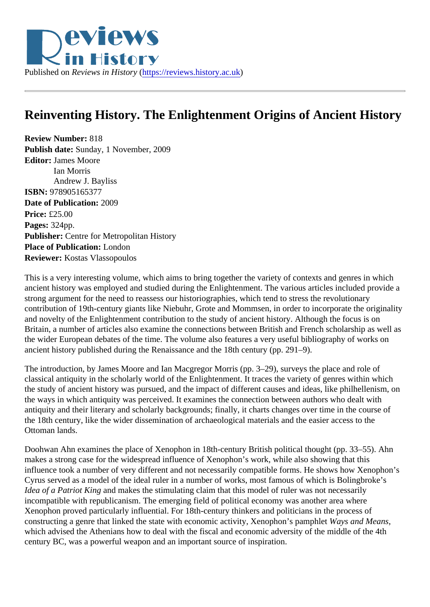## Reinventing History. The Enlightenment Origins of Ancient History

Review Number: 818 Publish date: Sunday, 1 November, 2009 Editor: James Moore Ian Morris Andrew J. Bayliss ISBN: 978905165377 Date of Publication: 2009 Price: £25.00 Pages: 324pp. Publisher: Centre for Metropolitan History Place of Publication: London Reviewer: Kostas Vlassopoulos

This is a very interesting volume, which aims to bring together the variety of contexts and genres in which ancient history was employed and studied during the Enlightenment. The various articles included provide strong argument for the need to reassess our historiographies, which tend to stress the revolutionary contribution of 19th-century giants like Niebuhr, Grote and Mommsen, in order to incorporate the originality and novelty of the Enlightenment contribution to the study of ancient history. Although the focus is on Britain, a number of articles also examine the connections between British and French scholarship as well the wider European debates of the time. The volume also features a very useful bibliography of works on ancient history published during the Renaissance and the 18th century (pp. 291–9).

The introduction, by James Moore and Ian Macgregor Morris (pp. 3–29), surveys the place and role of classical antiquity in the scholarly world of the Enlightenment. It traces the variety of genres within which the study of ancient history was pursued, and the impact of different causes and ideas, like philhellenism, the ways in which antiquity was perceived. It examines the connection between authors who dealt with antiquity and their literary and scholarly backgrounds; finally, it charts changes over time in the course of the 18th century, like the wider dissemination of archaeological materials and the easier access to the Ottoman lands.

Doohwan Ahn examines the place of Xenophon in 18th-century British political thought (pp. 33–55). Ahn makes a strong case for the widespread influence of Xenophon's work, while also showing that this influence took a number of very different and not necessarily compatible forms. He shows how Xenophon' Cyrus served as a model of the ideal ruler in a number of works, most famous of which is Bolingbroke's Idea of a Patriot King and makes the stimulating claim that this model of ruler was not necessarily incompatible with republicanism. The emerging field of political economy was another area where Xenophon proved particularly influential. For 18th-century thinkers and politicians in the process of constructing a genre that linked the state with economic activity, Xenophon's palivaly betand Means which advised the Athenians how to deal with the fiscal and economic adversity of the middle of the 4th century BC, was a powerful weapon and an important source of inspiration.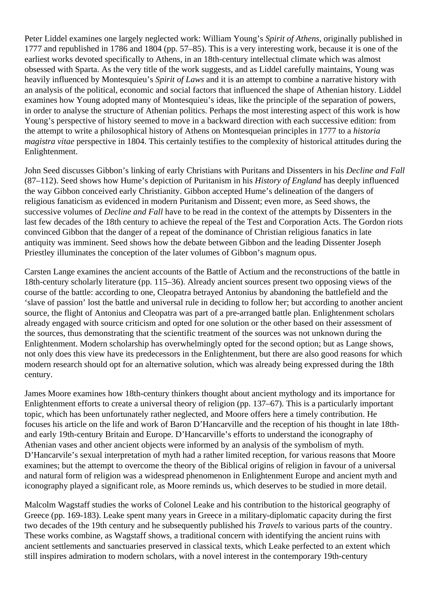Peter Liddel examines one largely neglected work: William Young's *Spirit of Athens*, originally published in 1777 and republished in 1786 and 1804 (pp. 57–85). This is a very interesting work, because it is one of the earliest works devoted specifically to Athens, in an 18th-century intellectual climate which was almost obsessed with Sparta. As the very title of the work suggests, and as Liddel carefully maintains, Young was heavily influenced by Montesquieu's *Spirit of Laws* and it is an attempt to combine a narrative history with an analysis of the political, economic and social factors that influenced the shape of Athenian history. Liddel examines how Young adopted many of Montesquieu's ideas, like the principle of the separation of powers, in order to analyse the structure of Athenian politics. Perhaps the most interesting aspect of this work is how Young's perspective of history seemed to move in a backward direction with each successive edition: from the attempt to write a philosophical history of Athens on Montesqueian principles in 1777 to a *historia magistra vitae* perspective in 1804. This certainly testifies to the complexity of historical attitudes during the Enlightenment.

John Seed discusses Gibbon's linking of early Christians with Puritans and Dissenters in his *Decline and Fall* (87–112). Seed shows how Hume's depiction of Puritanism in his *History of England* has deeply influenced the way Gibbon conceived early Christianity. Gibbon accepted Hume's delineation of the dangers of religious fanaticism as evidenced in modern Puritanism and Dissent; even more, as Seed shows, the successive volumes of *Decline and Fall* have to be read in the context of the attempts by Dissenters in the last few decades of the 18th century to achieve the repeal of the Test and Corporation Acts. The Gordon riots convinced Gibbon that the danger of a repeat of the dominance of Christian religious fanatics in late antiquity was imminent. Seed shows how the debate between Gibbon and the leading Dissenter Joseph Priestley illuminates the conception of the later volumes of Gibbon's magnum opus.

Carsten Lange examines the ancient accounts of the Battle of Actium and the reconstructions of the battle in 18th-century scholarly literature (pp. 115–36). Already ancient sources present two opposing views of the course of the battle: according to one, Cleopatra betrayed Antonius by abandoning the battlefield and the 'slave of passion' lost the battle and universal rule in deciding to follow her; but according to another ancient source, the flight of Antonius and Cleopatra was part of a pre-arranged battle plan. Enlightenment scholars already engaged with source criticism and opted for one solution or the other based on their assessment of the sources, thus demonstrating that the scientific treatment of the sources was not unknown during the Enlightenment. Modern scholarship has overwhelmingly opted for the second option; but as Lange shows, not only does this view have its predecessors in the Enlightenment, but there are also good reasons for which modern research should opt for an alternative solution, which was already being expressed during the 18th century.

James Moore examines how 18th-century thinkers thought about ancient mythology and its importance for Enlightenment efforts to create a universal theory of religion (pp. 137–67). This is a particularly important topic, which has been unfortunately rather neglected, and Moore offers here a timely contribution. He focuses his article on the life and work of Baron D'Hancarville and the reception of his thought in late 18thand early 19th-century Britain and Europe. D'Hancarville's efforts to understand the iconography of Athenian vases and other ancient objects were informed by an analysis of the symbolism of myth. D'Hancarvile's sexual interpretation of myth had a rather limited reception, for various reasons that Moore examines; but the attempt to overcome the theory of the Biblical origins of religion in favour of a universal and natural form of religion was a widespread phenomenon in Enlightenment Europe and ancient myth and iconography played a significant role, as Moore reminds us, which deserves to be studied in more detail.

Malcolm Wagstaff studies the works of Colonel Leake and his contribution to the historical geography of Greece (pp. 169-183). Leake spent many years in Greece in a military-diplomatic capacity during the first two decades of the 19th century and he subsequently published his *Travels* to various parts of the country. These works combine, as Wagstaff shows, a traditional concern with identifying the ancient ruins with ancient settlements and sanctuaries preserved in classical texts, which Leake perfected to an extent which still inspires admiration to modern scholars, with a novel interest in the contemporary 19th-century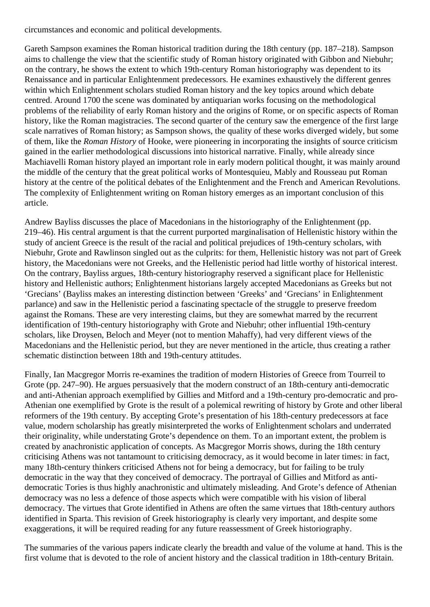circumstances and economic and political developments.

Gareth Sampson examines the Roman historical tradition during the 18th century (pp. 187–218). Sampson aims to challenge the view that the scientific study of Roman history originated with Gibbon and Niebuhr; on the contrary, he shows the extent to which 19th-century Roman historiography was dependent to its Renaissance and in particular Enlightenment predecessors. He examines exhaustively the different genres within which Enlightenment scholars studied Roman history and the key topics around which debate centred. Around 1700 the scene was dominated by antiquarian works focusing on the methodological problems of the reliability of early Roman history and the origins of Rome, or on specific aspects of Roman history, like the Roman magistracies. The second quarter of the century saw the emergence of the first large scale narratives of Roman history; as Sampson shows, the quality of these works diverged widely, but some of them, like the *Roman History* of Hooke, were pioneering in incorporating the insights of source criticism gained in the earlier methodological discussions into historical narrative. Finally, while already since Machiavelli Roman history played an important role in early modern political thought, it was mainly around the middle of the century that the great political works of Montesquieu, Mably and Rousseau put Roman history at the centre of the political debates of the Enlightenment and the French and American Revolutions. The complexity of Enlightenment writing on Roman history emerges as an important conclusion of this article.

Andrew Bayliss discusses the place of Macedonians in the historiography of the Enlightenment (pp. 219–46). His central argument is that the current purported marginalisation of Hellenistic history within the study of ancient Greece is the result of the racial and political prejudices of 19th-century scholars, with Niebuhr, Grote and Rawlinson singled out as the culprits: for them, Hellenistic history was not part of Greek history, the Macedonians were not Greeks, and the Hellenistic period had little worthy of historical interest. On the contrary, Bayliss argues, 18th-century historiography reserved a significant place for Hellenistic history and Hellenistic authors; Enlightenment historians largely accepted Macedonians as Greeks but not 'Grecians' (Bayliss makes an interesting distinction between 'Greeks' and 'Grecians' in Enlightenment parlance) and saw in the Hellenistic period a fascinating spectacle of the struggle to preserve freedom against the Romans. These are very interesting claims, but they are somewhat marred by the recurrent identification of 19th-century historiography with Grote and Niebuhr; other influential 19th-century scholars, like Droysen, Beloch and Meyer (not to mention Mahaffy), had very different views of the Macedonians and the Hellenistic period, but they are never mentioned in the article, thus creating a rather schematic distinction between 18th and 19th-century attitudes.

Finally, Ian Macgregor Morris re-examines the tradition of modern Histories of Greece from Tourreil to Grote (pp. 247–90). He argues persuasively that the modern construct of an 18th-century anti-democratic and anti-Athenian approach exemplified by Gillies and Mitford and a 19th-century pro-democratic and pro-Athenian one exemplified by Grote is the result of a polemical rewriting of history by Grote and other liberal reformers of the 19th century. By accepting Grote's presentation of his 18th-century predecessors at face value, modern scholarship has greatly misinterpreted the works of Enlightenment scholars and underrated their originality, while understating Grote's dependence on them. To an important extent, the problem is created by anachronistic application of concepts. As Macgregor Morris shows, during the 18th century criticising Athens was not tantamount to criticising democracy, as it would become in later times: in fact, many 18th-century thinkers criticised Athens not for being a democracy, but for failing to be truly democratic in the way that they conceived of democracy. The portrayal of Gillies and Mitford as antidemocratic Tories is thus highly anachronistic and ultimately misleading. And Grote's defence of Athenian democracy was no less a defence of those aspects which were compatible with his vision of liberal democracy. The virtues that Grote identified in Athens are often the same virtues that 18th-century authors identified in Sparta. This revision of Greek historiography is clearly very important, and despite some exaggerations, it will be required reading for any future reassessment of Greek historiography.

The summaries of the various papers indicate clearly the breadth and value of the volume at hand. This is the first volume that is devoted to the role of ancient history and the classical tradition in 18th-century Britain.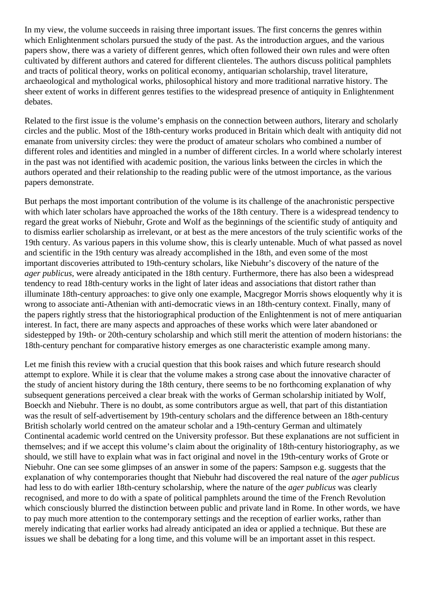In my view, the volume succeeds in raising three important issues. The first concerns the genres within which Enlightenment scholars pursued the study of the past. As the introduction argues, and the various papers show, there was a variety of different genres, which often followed their own rules and were often cultivated by different authors and catered for different clienteles. The authors discuss political pamphlets and tracts of political theory, works on political economy, antiquarian scholarship, travel literature, archaeological and mythological works, philosophical history and more traditional narrative history. The sheer extent of works in different genres testifies to the widespread presence of antiquity in Enlightenment debates.

Related to the first issue is the volume's emphasis on the connection between authors, literary and scholarly circles and the public. Most of the 18th-century works produced in Britain which dealt with antiquity did not emanate from university circles: they were the product of amateur scholars who combined a number of different roles and identities and mingled in a number of different circles. In a world where scholarly interest in the past was not identified with academic position, the various links between the circles in which the authors operated and their relationship to the reading public were of the utmost importance, as the various papers demonstrate.

But perhaps the most important contribution of the volume is its challenge of the anachronistic perspective with which later scholars have approached the works of the 18th century. There is a widespread tendency to regard the great works of Niebuhr, Grote and Wolf as the beginnings of the scientific study of antiquity and to dismiss earlier scholarship as irrelevant, or at best as the mere ancestors of the truly scientific works of the 19th century. As various papers in this volume show, this is clearly untenable. Much of what passed as novel and scientific in the 19th century was already accomplished in the 18th, and even some of the most important discoveries attributed to 19th-century scholars, like Niebuhr's discovery of the nature of the *ager publicus*, were already anticipated in the 18th century. Furthermore, there has also been a widespread tendency to read 18th-century works in the light of later ideas and associations that distort rather than illuminate 18th-century approaches: to give only one example, Macgregor Morris shows eloquently why it is wrong to associate anti-Athenian with anti-democratic views in an 18th-century context. Finally, many of the papers rightly stress that the historiographical production of the Enlightenment is not of mere antiquarian interest. In fact, there are many aspects and approaches of these works which were later abandoned or sidestepped by 19th- or 20th-century scholarship and which still merit the attention of modern historians: the 18th-century penchant for comparative history emerges as one characteristic example among many.

Let me finish this review with a crucial question that this book raises and which future research should attempt to explore. While it is clear that the volume makes a strong case about the innovative character of the study of ancient history during the 18th century, there seems to be no forthcoming explanation of why subsequent generations perceived a clear break with the works of German scholarship initiated by Wolf, Boeckh and Niebuhr. There is no doubt, as some contributors argue as well, that part of this distantiation was the result of self-advertisement by 19th-century scholars and the difference between an 18th-century British scholarly world centred on the amateur scholar and a 19th-century German and ultimately Continental academic world centred on the University professor. But these explanations are not sufficient in themselves; and if we accept this volume's claim about the originality of 18th-century historiography, as we should, we still have to explain what was in fact original and novel in the 19th-century works of Grote or Niebuhr. One can see some glimpses of an answer in some of the papers: Sampson e.g. suggests that the explanation of why contemporaries thought that Niebuhr had discovered the real nature of the *ager publicus* had less to do with earlier 18th-century scholarship, where the nature of the *ager publicus* was clearly recognised, and more to do with a spate of political pamphlets around the time of the French Revolution which consciously blurred the distinction between public and private land in Rome. In other words, we have to pay much more attention to the contemporary settings and the reception of earlier works, rather than merely indicating that earlier works had already anticipated an idea or applied a technique. But these are issues we shall be debating for a long time, and this volume will be an important asset in this respect.